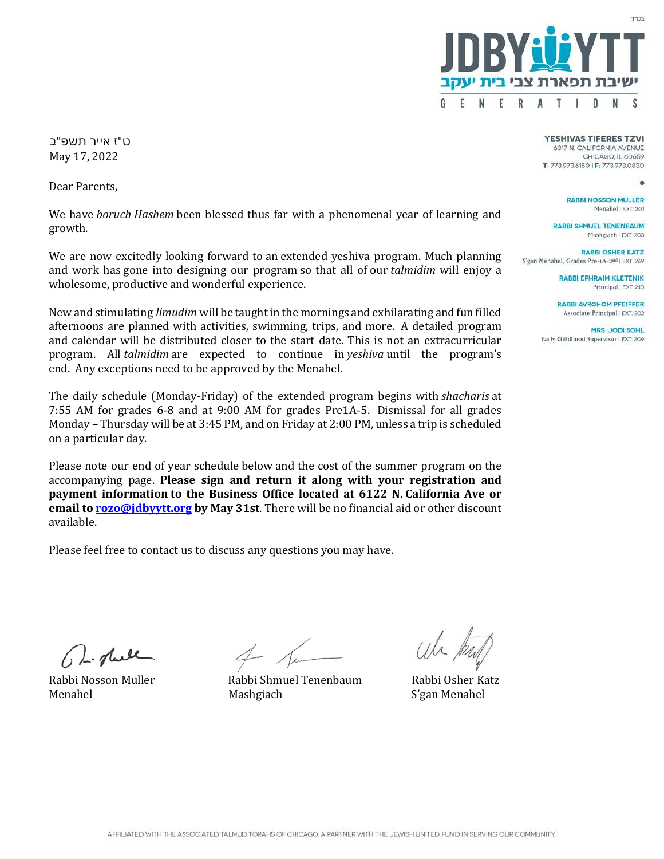

ט"ז אייר תשפ "ב May 17, 2022

Dear Parents,

We have *boruch Hashem* been blessed thus far with a phenomenal year of learning and growth.

We are now excitedly looking forward to an extended yeshiva program. Much planning and work has gone into designing our program so that all of our *talmidim* will enjoy a wholesome, productive and wonderful experience.

New and stimulating *limudim* will be taught in the mornings and exhilarating and fun filled afternoons are planned with activities, swimming, trips, and more. A detailed program and calendar will be distributed closer to the start date. This is not an extracurricular program. All *talmidim* are expected to continue in *yeshiva* until the program's end. Any exceptions need to be approved by the Menahel.

The daily schedule (Monday-Friday) of the extended program begins with *shacharis* at 7:55 AM for grades 6-8 and at 9:00 AM for grades Pre1A-5. Dismissal for all grades Monday – Thursday will be at 3:45 PM, and on Friday at 2:00 PM, unless a trip is scheduled on a particular day.

Please note our end of year schedule below and the cost of the summer program on the accompanying page. **Please sign and return it along with your registration and payment information to the Business Office located at 6122 N. California Ave or email t[o rozo@jdbyytt.org](mailto:rozo@jdbyytt.org) by May 31st**. There will be no financial aid or other discount available.

Please feel free to contact us to discuss any questions you may have.

**YESHIVAS TIFERES TZVI** 6317 N. CALIFORNIA AVENUE CHICAGO, IL 60659 T: 773.973.6150 | F: 773.973.0830

**RABBI NOSSON MULLER** Menahel | EXT. 201

**RABBI SHMUEL TENENBAUM** Mashgiach | EXT. 203

**RABBI OSHER KATZ** S'gan Menahel, Grades Pre-1A-2nd | EXT. 269

> **RABBI EPHRAIM KLETENIK** Principal | EXT. 210

**RABBI AVROHOM PFEIFFER** Associate Principal | EXT. 202

**MRS. JODI SOHL** Early Childhood Supervisor | EXT. 209

Dr. plack

Rabbi Nosson Muller Rabbi Shmuel Tenenbaum Rabbi Osher Katz

S'gan Menahel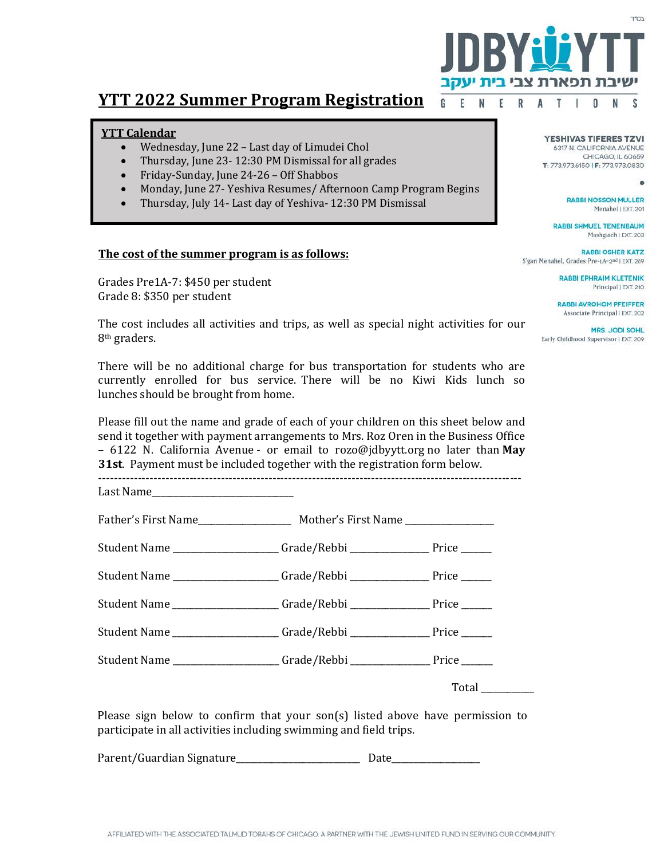

## **YTT 2022 Summer Program Registration**

## **YTT Calendar**

- Wednesday, June 22 Last day of Limudei Chol
- Thursday, June 23- 12:30 PM Dismissal for all grades
- Friday-Sunday, June 24-26 Off Shabbos
- Monday, June 27- Yeshiva Resumes/ Afternoon Camp Program Begins
- Thursday, July 14- Last day of Yeshiva- 12:30 PM Dismissal

## **The cost of the summer program is as follows:**

Grades Pre1A-7: \$450 per student Grade 8: \$350 per student

The cost includes all activities and trips, as well as special night activities for our 8th graders.

There will be no additional charge for bus transportation for students who are currently enrolled for bus service. There will be no Kiwi Kids lunch so lunches should be brought from home.

Please fill out the name and grade of each of your children on this sheet below and send it together with payment arrangements to Mrs. Roz Oren in the Business Office – 6122 N. California Avenue - or email to rozo@jdbyytt.org no later than **May 31st**. Payment must be included together with the registration form below.

-----------------------------------------------------------------------------------------------------------

| Last Name_______________________________                                      |                 |
|-------------------------------------------------------------------------------|-----------------|
|                                                                               |                 |
| Student Name ____________________Grade/Rebbi ___________________Price _______ |                 |
| Student Name ___________________Grade/Rebbi ___________________ Price ______  |                 |
| Student Name ____________________Grade/Rebbi __________________ Price ______  |                 |
| Student Name _____________________Grade/Rebbi _________________ Price _______ |                 |
| Student Name ____________________Grade/Rebbi _________________ Price ______   |                 |
|                                                                               | Total__________ |

Please sign below to confirm that your son(s) listed above have permission to participate in all activities including swimming and field trips.

Parent/Guardian Signature\_\_\_\_\_\_\_\_\_\_\_\_\_\_\_\_\_\_\_\_\_\_\_\_\_\_\_\_ Date\_\_\_\_\_\_\_\_\_\_\_\_\_\_\_\_\_\_\_\_

**YESHIVAS TIFERES TZVI** 6317 N. CALIFORNIA AVENUE CHICAGO. IL 60659 T: 773.973.6150 | F: 773.973.0830

**RABBI NOSSON MULLER** Menahel | EXT. 201

**RABBI SHMUEL TENENBAUM** Mashgiach | EXT. 203

**RABBI OSHER KATZ** S'gan Menahel, Grades Pre-1A-2nd | EXT. 269

> RABBI EPHRAIM KLETENIK Principal | EXT. 210

**RABBI AVROHOM PFEIFFER** Associate Principal | EXT. 202

**MRS. JODI SOHL** Early Childhood Supervisor | EXT. 209